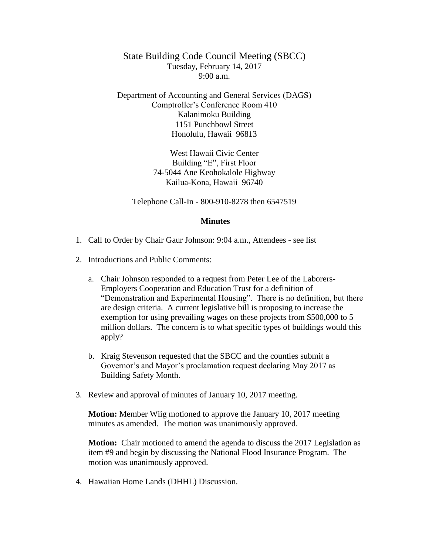State Building Code Council Meeting (SBCC) Tuesday, February 14, 2017  $9:00 a.m.$ 

Department of Accounting and General Services (DAGS) Comptroller's Conference Room 410 Kalanimoku Building 1151 Punchbowl Street Honolulu, Hawaii 96813

> West Hawaii Civic Center Building "E", First Floor 74-5044 Ane Keohokalole Highway Kailua-Kona, Hawaii 96740

Telephone Call-In - 800-910-8278 then 6547519

## **Minutes**

- 1. Call to Order by Chair Gaur Johnson: 9:04 a.m., Attendees see list
- 2. Introductions and Public Comments:
	- a. Chair Johnson responded to a request from Peter Lee of the Laborers-Employers Cooperation and Education Trust for a definition of "Demonstration and Experimental Housing". There is no definition, but there are design criteria. A current legislative bill is proposing to increase the exemption for using prevailing wages on these projects from \$500,000 to 5 million dollars. The concern is to what specific types of buildings would this apply?
	- b. Kraig Stevenson requested that the SBCC and the counties submit a Governor's and Mayor's proclamation request declaring May 2017 as Building Safety Month.
- 3. Review and approval of minutes of January 10, 2017 meeting.

**Motion:** Member Wiig motioned to approve the January 10, 2017 meeting minutes as amended. The motion was unanimously approved.

**Motion:** Chair motioned to amend the agenda to discuss the 2017 Legislation as item #9 and begin by discussing the National Flood Insurance Program. The motion was unanimously approved.

4. Hawaiian Home Lands (DHHL) Discussion.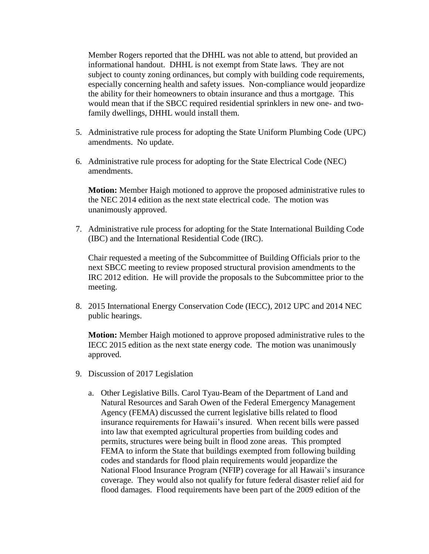Member Rogers reported that the DHHL was not able to attend, but provided an informational handout. DHHL is not exempt from State laws. They are not subject to county zoning ordinances, but comply with building code requirements, especially concerning health and safety issues. Non-compliance would jeopardize the ability for their homeowners to obtain insurance and thus a mortgage. This would mean that if the SBCC required residential sprinklers in new one- and twofamily dwellings, DHHL would install them.

- 5. Administrative rule process for adopting the State Uniform Plumbing Code (UPC) amendments. No update.
- 6. Administrative rule process for adopting for the State Electrical Code (NEC) amendments.

**Motion:** Member Haigh motioned to approve the proposed administrative rules to the NEC 2014 edition as the next state electrical code. The motion was unanimously approved.

7. Administrative rule process for adopting for the State International Building Code (IBC) and the International Residential Code (IRC).

Chair requested a meeting of the Subcommittee of Building Officials prior to the next SBCC meeting to review proposed structural provision amendments to the IRC 2012 edition. He will provide the proposals to the Subcommittee prior to the meeting.

8. 2015 International Energy Conservation Code (IECC), 2012 UPC and 2014 NEC public hearings.

**Motion:** Member Haigh motioned to approve proposed administrative rules to the IECC 2015 edition as the next state energy code. The motion was unanimously approved.

- 9. Discussion of 2017 Legislation
	- a. Other Legislative Bills. Carol Tyau-Beam of the Department of Land and Natural Resources and Sarah Owen of the Federal Emergency Management Agency (FEMA) discussed the current legislative bills related to flood insurance requirements for Hawaii's insured. When recent bills were passed into law that exempted agricultural properties from building codes and permits, structures were being built in flood zone areas. This prompted FEMA to inform the State that buildings exempted from following building codes and standards for flood plain requirements would jeopardize the National Flood Insurance Program (NFIP) coverage for all Hawaii's insurance coverage. They would also not qualify for future federal disaster relief aid for flood damages. Flood requirements have been part of the 2009 edition of the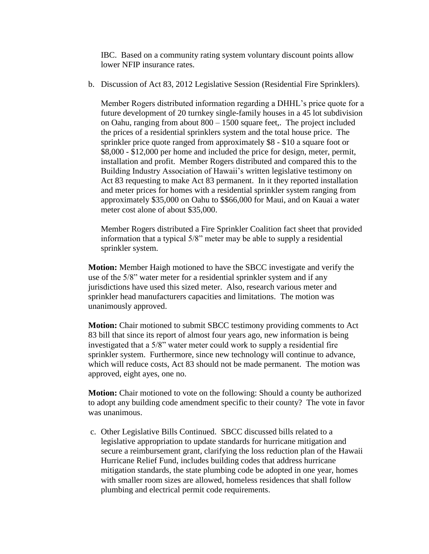IBC. Based on a community rating system voluntary discount points allow lower NFIP insurance rates.

b. Discussion of Act 83, 2012 Legislative Session (Residential Fire Sprinklers).

Member Rogers distributed information regarding a DHHL's price quote for a future development of 20 turnkey single-family houses in a 45 lot subdivision on Oahu, ranging from about 800 – 1500 square feet,. The project included the prices of a residential sprinklers system and the total house price. The sprinkler price quote ranged from approximately \$8 - \$10 a square foot or \$8,000 - \$12,000 per home and included the price for design, meter, permit, installation and profit. Member Rogers distributed and compared this to the Building Industry Association of Hawaii's written legislative testimony on Act 83 requesting to make Act 83 permanent. In it they reported installation and meter prices for homes with a residential sprinkler system ranging from approximately \$35,000 on Oahu to \$\$66,000 for Maui, and on Kauai a water meter cost alone of about \$35,000.

Member Rogers distributed a Fire Sprinkler Coalition fact sheet that provided information that a typical 5/8" meter may be able to supply a residential sprinkler system.

**Motion:** Member Haigh motioned to have the SBCC investigate and verify the use of the 5/8" water meter for a residential sprinkler system and if any jurisdictions have used this sized meter. Also, research various meter and sprinkler head manufacturers capacities and limitations. The motion was unanimously approved.

**Motion:** Chair motioned to submit SBCC testimony providing comments to Act 83 bill that since its report of almost four years ago, new information is being investigated that a 5/8" water meter could work to supply a residential fire sprinkler system. Furthermore, since new technology will continue to advance, which will reduce costs, Act 83 should not be made permanent. The motion was approved, eight ayes, one no.

**Motion:** Chair motioned to vote on the following: Should a county be authorized to adopt any building code amendment specific to their county? The vote in favor was unanimous.

c. Other Legislative Bills Continued. SBCC discussed bills related to a legislative appropriation to update standards for hurricane mitigation and secure a reimbursement grant, clarifying the loss reduction plan of the Hawaii Hurricane Relief Fund, includes building codes that address hurricane mitigation standards, the state plumbing code be adopted in one year, homes with smaller room sizes are allowed, homeless residences that shall follow plumbing and electrical permit code requirements.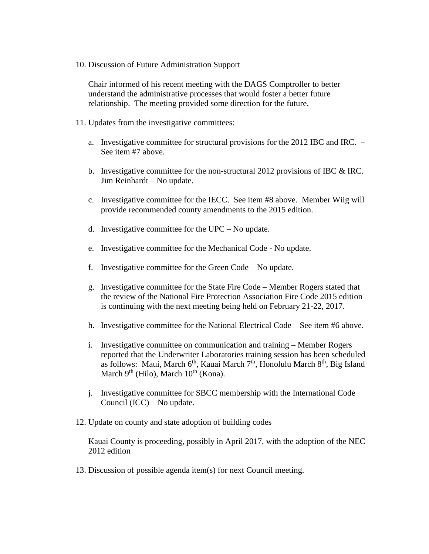10. Discussion of Future Administration Support

Chair informed of his recent meeting with the DAGS Comptroller to better understand the administrative processes that would foster a better future relationship. The meeting provided some direction for the future.

- 11. Updates from the investigative committees:
	- a. Investigative committee for structural provisions for the 2012 IBC and IRC. See item #7 above.
	- b. Investigative committee for the non-structural 2012 provisions of IBC & IRC. Jim Reinhardt – No update.
	- c. Investigative committee for the IECC. See item #8 above. Member Wiig will provide recommended county amendments to the 2015 edition.
	- d. Investigative committee for the UPC No update.
	- e. Investigative committee for the Mechanical Code No update.
	- f. Investigative committee for the Green Code No update.
	- g. Investigative committee for the State Fire Code Member Rogers stated that the review of the National Fire Protection Association Fire Code 2015 edition is continuing with the next meeting being held on February 21-22, 2017.
	- h. Investigative committee for the National Electrical Code See item #6 above.
	- i. Investigative committee on communication and training Member Rogers reported that the Underwriter Laboratories training session has been scheduled as follows: Maui, March  $6<sup>th</sup>$ , Kauai March  $7<sup>th</sup>$ , Honolulu March  $8<sup>th</sup>$ , Big Island March  $9<sup>th</sup>$  (Hilo), March  $10<sup>th</sup>$  (Kona).
	- j. Investigative committee for SBCC membership with the International Code Council (ICC) – No update.
- 12. Update on county and state adoption of building codes

Kauai County is proceeding, possibly in April 2017, with the adoption of the NEC 2012 edition

13. Discussion of possible agenda item(s) for next Council meeting.